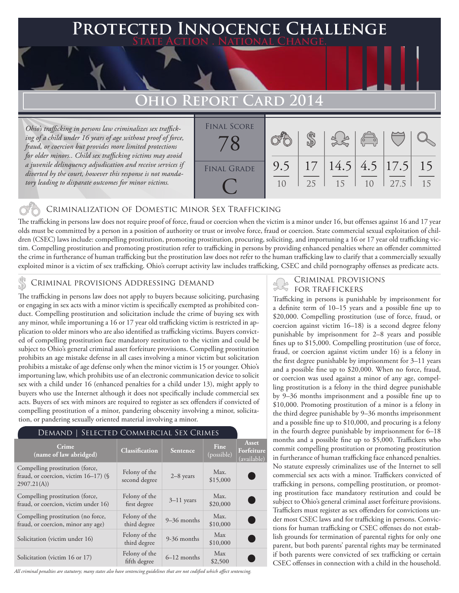### **PECTED INNOCENCE CHALLENGE State Action . National Change.**

## **Ohio Report Card 2014**

*Ohio's trafficking in persons law criminalizes sex trafficking of a child under 16 years of age without proof of force, fraud, or coercion but provides more limited protections for older minors.. Child sex trafficking victims may avoid a juvenile delinquency adjudication and receive services if diverted by the court, however this response is not mandatory leading to disparate outcomes for minor victims.*



#### Criminalization of Domestic Minor Sex Trafficking

The trafficking in persons law does not require proof of force, fraud or coercion when the victim is a minor under 16, but offenses against 16 and 17 year olds must be committed by a person in a position of authority or trust or involve force, fraud or coercion. State commercial sexual exploitation of children (CSEC) laws include: compelling prostitution, promoting prostitution, procuring, soliciting, and importuning a 16 or 17 year old trafficking victim. Compelling prostitution and promoting prostitution refer to trafficking in persons by providing enhanced penalties where an offender committed the crime in furtherance of human trafficking but the prostitution law does not refer to the human trafficking law to clarify that a commercially sexually exploited minor is a victim of sex trafficking. Ohio's corrupt activity law includes trafficking, CSEC and child pornography offenses as predicate acts.

## CRIMINAL PROVISIONS ADDRESSING DEMAND<br>FOR TRAFFICKERS

The trafficking in persons law does not apply to buyers because soliciting, purchasing or engaging in sex acts with a minor victim is specifically exempted as prohibited conduct. Compelling prostitution and solicitation include the crime of buying sex with any minor, while importuning a 16 or 17 year old trafficking victim is restricted in application to older minors who are also identified as trafficking victims. Buyers convicted of compelling prostitution face mandatory restitution to the victim and could be subject to Ohio's general criminal asset forfeiture provisions. Compelling prostitution prohibits an age mistake defense in all cases involving a minor victim but solicitation prohibits a mistake of age defense only when the minor victim is 15 or younger. Ohio's importuning law, which prohibits use of an electronic communication device to solicit sex with a child under 16 (enhanced penalties for a child under 13), might apply to buyers who use the Internet although it does not specifically include commercial sex acts. Buyers of sex with minors are required to register as sex offenders if convicted of compelling prostitution of a minor, pandering obscenity involving a minor, solicitation, or pandering sexually oriented material involving a minor.

#### Demand | Selected Commercial Sex Crimes

| Crime<br>(name of law abridged)                                                          | <b>Classification</b>          | Sentence       | Fine<br>(possible) | Asset<br>Forfeiture<br>(available) |
|------------------------------------------------------------------------------------------|--------------------------------|----------------|--------------------|------------------------------------|
| Compelling prostitution (force,<br>fraud, or coercion, victim $16-17$ ) (§<br>2907.21(A) | Felony of the<br>second degree | $2-8$ years    | Max.<br>\$15,000   |                                    |
| Compelling prostitution (force,<br>fraud, or coercion, victim under 16)                  | Felony of the<br>first degree  | $3 - 11$ years | Max.<br>\$20,000   |                                    |
| Compelling prostitution (no force,<br>fraud, or coercion, minor any age)                 | Felony of the<br>third degree  | $9-36$ months  | Max.<br>\$10,000   |                                    |
| Solicitation (victim under 16)                                                           | Felony of the<br>third degree  | 9-36 months    | Max<br>\$10,000    |                                    |
| Solicitation (victim 16 or 17)                                                           | Felony of the<br>fifth degree  | $6-12$ months  | Max<br>\$2,500     |                                    |

*All criminal penalties are statutory; many states also have sentencing guidelines that are not codified which affect sentencing.* 

# Criminal provisions

Trafficking in persons is punishable by imprisonment for a definite term of 10–15 years and a possible fine up to \$20,000. Compelling prostitution (use of force, fraud, or coercion against victim 16–18) is a second degree felony punishable by imprisonment for 2–8 years and possible fines up to \$15,000. Compelling prostitution (use of force, fraud, or coercion against victim under 16) is a felony in the first degree punishable by imprisonment for 3–11 years and a possible fine up to \$20,000. When no force, fraud, or coercion was used against a minor of any age, compelling prostitution is a felony in the third degree punishable by 9–36 months imprisonment and a possible fine up to \$10,000. Promoting prostitution of a minor is a felony in the third degree punishable by 9–36 months imprisonment and a possible fine up to \$10,000, and procuring is a felony in the fourth degree punishable by imprisonment for 6–18 months and a possible fine up to \$5,000. Traffickers who commit compelling prostitution or promoting prostitution in furtherance of human trafficking face enhanced penalties. No statute expressly criminalizes use of the Internet to sell commercial sex acts with a minor. Traffickers convicted of trafficking in persons, compelling prostitution, or promoting prostitution face mandatory restitution and could be subject to Ohio's general criminal asset forfeiture provisions. Traffickers must register as sex offenders for convictions under most CSEC laws and for trafficking in persons. Convictions for human trafficking or CSEC offenses do not establish grounds for termination of parental rights for only one parent, but both parents' parental rights may be terminated if both parents were convicted of sex trafficking or certain CSEC offenses in connection with a child in the household.